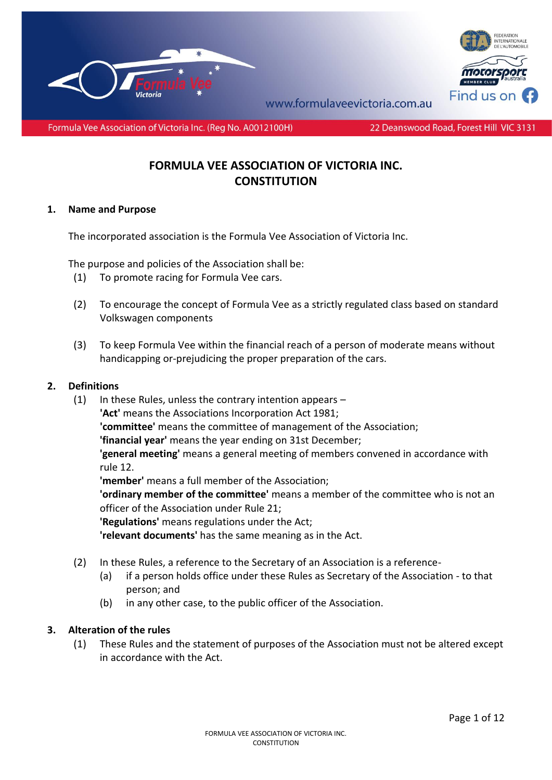



www.formulayeevictoria.com.au

Formula Vee Association of Victoria Inc. (Reg No. A0012100H)

### 22 Deanswood Road, Forest Hill VIC 3131

# **FORMULA VEE ASSOCIATION OF VICTORIA INC. CONSTITUTION**

### **1. Name and Purpose**

The incorporated association is the Formula Vee Association of Victoria Inc.

The purpose and policies of the Association shall be:

- (1) To promote racing for Formula Vee cars.
- (2) To encourage the concept of Formula Vee as a strictly regulated class based on standard Volkswagen components
- (3) To keep Formula Vee within the financial reach of a person of moderate means without handicapping or-prejudicing the proper preparation of the cars.

### **2. Definitions**

(1) In these Rules, unless the contrary intention appears  $-$ **'Act'** means the Associations Incorporation Act 1981; **'committee'** means the committee of management of the Association; **'financial year'** means the year ending on 31st December; **'general meeting'** means a general meeting of members convened in accordance with rule 12. **'member'** means a full member of the Association; **'ordinary member of the committee'** means a member of the committee who is not an officer of the Association under Rule 21; **'Regulations'** means regulations under the Act;

**'relevant documents'** has the same meaning as in the Act.

- (2) In these Rules, a reference to the Secretary of an Association is a reference-
	- (a) if a person holds office under these Rules as Secretary of the Association to that person; and
	- (b) in any other case, to the public officer of the Association.

# **3. Alteration of the rules**

(1) These Rules and the statement of purposes of the Association must not be altered except in accordance with the Act.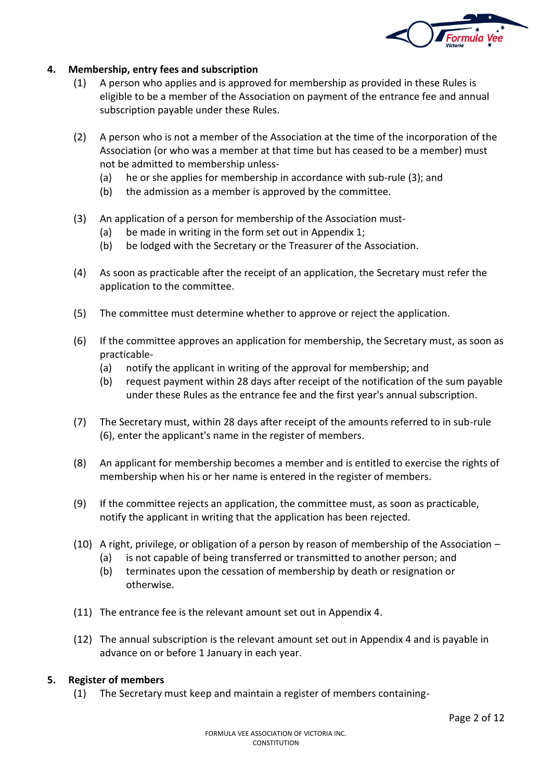

# **4. Membership, entry fees and subscription**

- (1) A person who applies and is approved for membership as provided in these Rules is eligible to be a member of the Association on payment of the entrance fee and annual subscription payable under these Rules.
- (2) A person who is not a member of the Association at the time of the incorporation of the Association (or who was a member at that time but has ceased to be a member) must not be admitted to membership unless-
	- (a) he or she applies for membership in accordance with sub-rule (3); and
	- (b) the admission as a member is approved by the committee.
- (3) An application of a person for membership of the Association must-
	- (a) be made in writing in the form set out in Appendix 1;
	- (b) be lodged with the Secretary or the Treasurer of the Association.
- (4) As soon as practicable after the receipt of an application, the Secretary must refer the application to the committee.
- (5) The committee must determine whether to approve or reject the application.
- (6) If the committee approves an application for membership, the Secretary must, as soon as practicable-
	- (a) notify the applicant in writing of the approval for membership; and
	- (b) request payment within 28 days after receipt of the notification of the sum payable under these Rules as the entrance fee and the first year's annual subscription.
- (7) The Secretary must, within 28 days after receipt of the amounts referred to in sub-rule (6), enter the applicant's name in the register of members.
- (8) An applicant for membership becomes a member and is entitled to exercise the rights of membership when his or her name is entered in the register of members.
- (9) If the committee rejects an application, the committee must, as soon as practicable, notify the applicant in writing that the application has been rejected.
- (10) A right, privilege, or obligation of a person by reason of membership of the Association
	- (a) is not capable of being transferred or transmitted to another person; and
	- (b) terminates upon the cessation of membership by death or resignation or otherwise.
- (11) The entrance fee is the relevant amount set out in Appendix 4.
- (12) The annual subscription is the relevant amount set out in Appendix 4 and is payable in advance on or before 1 January in each year.

### **5. Register of members**

(1) The Secretary must keep and maintain a register of members containing-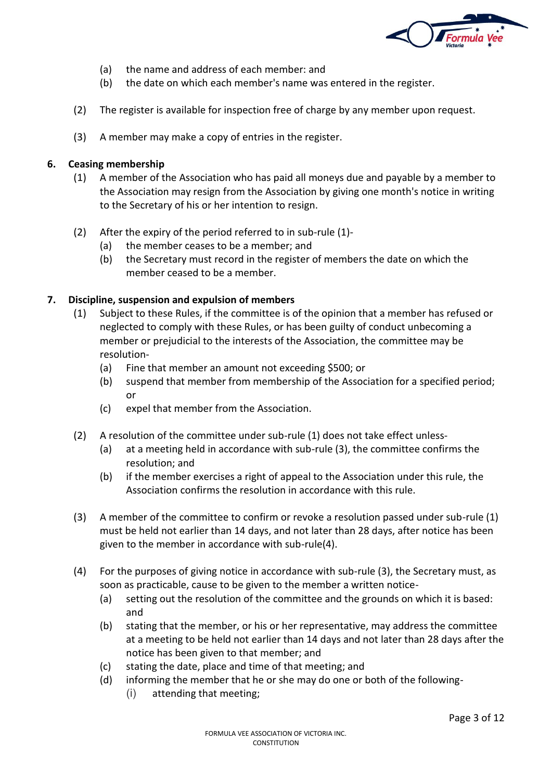

- (a) the name and address of each member: and
- (b) the date on which each member's name was entered in the register.
- (2) The register is available for inspection free of charge by any member upon request.
- (3) A member may make a copy of entries in the register.

# **6. Ceasing membership**

- (1) A member of the Association who has paid all moneys due and payable by a member to the Association may resign from the Association by giving one month's notice in writing to the Secretary of his or her intention to resign.
- (2) After the expiry of the period referred to in sub-rule (1)-
	- (a) the member ceases to be a member; and
	- (b) the Secretary must record in the register of members the date on which the member ceased to be a member.

# **7. Discipline, suspension and expulsion of members**

- (1) Subject to these Rules, if the committee is of the opinion that a member has refused or neglected to comply with these Rules, or has been guilty of conduct unbecoming a member or prejudicial to the interests of the Association, the committee may be resolution-
	- (a) Fine that member an amount not exceeding \$500; or
	- (b) suspend that member from membership of the Association for a specified period; or
	- (c) expel that member from the Association.
- (2) A resolution of the committee under sub-rule (1) does not take effect unless-
	- (a) at a meeting held in accordance with sub-rule (3), the committee confirms the resolution; and
	- (b) if the member exercises a right of appeal to the Association under this rule, the Association confirms the resolution in accordance with this rule.
- (3) A member of the committee to confirm or revoke a resolution passed under sub-rule (1) must be held not earlier than 14 days, and not later than 28 days, after notice has been given to the member in accordance with sub-rule(4).
- (4) For the purposes of giving notice in accordance with sub-rule (3), the Secretary must, as soon as practicable, cause to be given to the member a written notice-
	- (a) setting out the resolution of the committee and the grounds on which it is based: and
	- (b) stating that the member, or his or her representative, may address the committee at a meeting to be held not earlier than 14 days and not later than 28 days after the notice has been given to that member; and
	- (c) stating the date, place and time of that meeting; and
	- (d) informing the member that he or she may do one or both of the following-
		- (i) attending that meeting;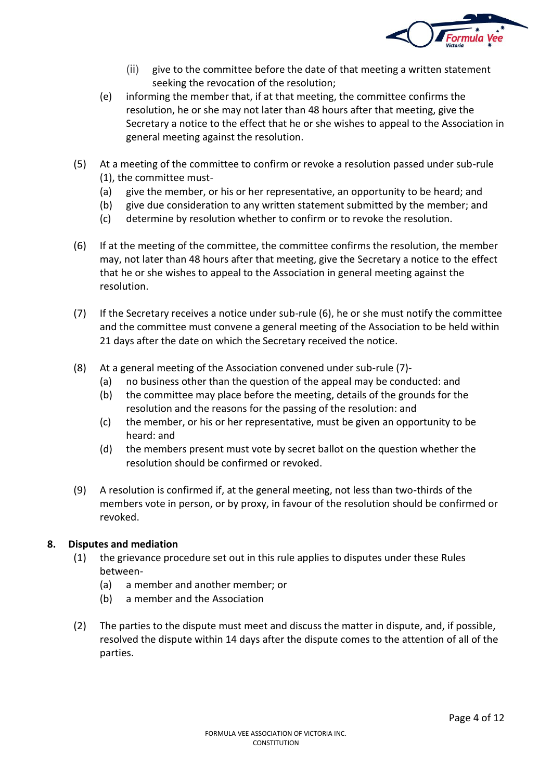

- (ii) give to the committee before the date of that meeting a written statement seeking the revocation of the resolution;
- (e) informing the member that, if at that meeting, the committee confirms the resolution, he or she may not later than 48 hours after that meeting, give the Secretary a notice to the effect that he or she wishes to appeal to the Association in general meeting against the resolution.
- (5) At a meeting of the committee to confirm or revoke a resolution passed under sub-rule (1), the committee must-
	- (a) give the member, or his or her representative, an opportunity to be heard; and
	- (b) give due consideration to any written statement submitted by the member; and
	- (c) determine by resolution whether to confirm or to revoke the resolution.
- (6) If at the meeting of the committee, the committee confirms the resolution, the member may, not later than 48 hours after that meeting, give the Secretary a notice to the effect that he or she wishes to appeal to the Association in general meeting against the resolution.
- (7) If the Secretary receives a notice under sub-rule (6), he or she must notify the committee and the committee must convene a general meeting of the Association to be held within 21 days after the date on which the Secretary received the notice.
- (8) At a general meeting of the Association convened under sub-rule (7)-
	- (a) no business other than the question of the appeal may be conducted: and
	- (b) the committee may place before the meeting, details of the grounds for the resolution and the reasons for the passing of the resolution: and
	- (c) the member, or his or her representative, must be given an opportunity to be heard: and
	- (d) the members present must vote by secret ballot on the question whether the resolution should be confirmed or revoked.
- (9) A resolution is confirmed if, at the general meeting, not less than two-thirds of the members vote in person, or by proxy, in favour of the resolution should be confirmed or revoked.

# **8. Disputes and mediation**

- (1) the grievance procedure set out in this rule applies to disputes under these Rules between-
	- (a) a member and another member; or
	- (b) a member and the Association
- (2) The parties to the dispute must meet and discuss the matter in dispute, and, if possible, resolved the dispute within 14 days after the dispute comes to the attention of all of the parties.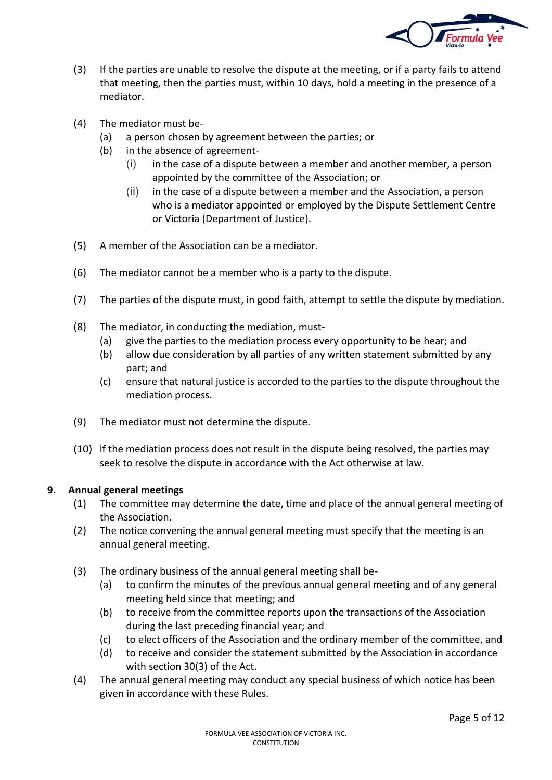

- (3) If the parties are unable to resolve the dispute at the meeting, or if a party fails to attend that meeting, then the parties must, within 10 days, hold a meeting in the presence of a mediator.
- (4) The mediator must be-
	- (a) a person chosen by agreement between the parties; or
	- (b) in the absence of agreement-
		- $(i)$  in the case of a dispute between a member and another member, a person appointed by the committee of the Association; or
		- (ii) in the case of a dispute between a member and the Association, a person who is a mediator appointed or employed by the Dispute Settlement Centre or Victoria (Department of Justice).
- (5) A member of the Association can be a mediator.
- (6) The mediator cannot be a member who is a party to the dispute.
- (7) The parties of the dispute must, in good faith, attempt to settle the dispute by mediation.
- (8) The mediator, in conducting the mediation, must-
	- (a) give the parties to the mediation process every opportunity to be hear; and
	- (b) allow due consideration by all parties of any written statement submitted by any part; and
	- (c) ensure that natural justice is accorded to the parties to the dispute throughout the mediation process.
- (9) The mediator must not determine the dispute.
- (10) lf the mediation process does not result in the dispute being resolved, the parties may seek to resolve the dispute in accordance with the Act otherwise at law.

# **9. Annual general meetings**

- (1) The committee may determine the date, time and place of the annual general meeting of the Association.
- (2) The notice convening the annual general meeting must specify that the meeting is an annual general meeting.
- (3) The ordinary business of the annual general meeting shall be-
	- (a) to confirm the minutes of the previous annual general meeting and of any general meeting held since that meeting; and
	- (b) to receive from the committee reports upon the transactions of the Association during the last preceding financial year; and
	- (c) to elect officers of the Association and the ordinary member of the committee, and
	- (d) to receive and consider the statement submitted by the Association in accordance with section 30(3) of the Act.
- (4) The annual general meeting may conduct any special business of which notice has been given in accordance with these Rules.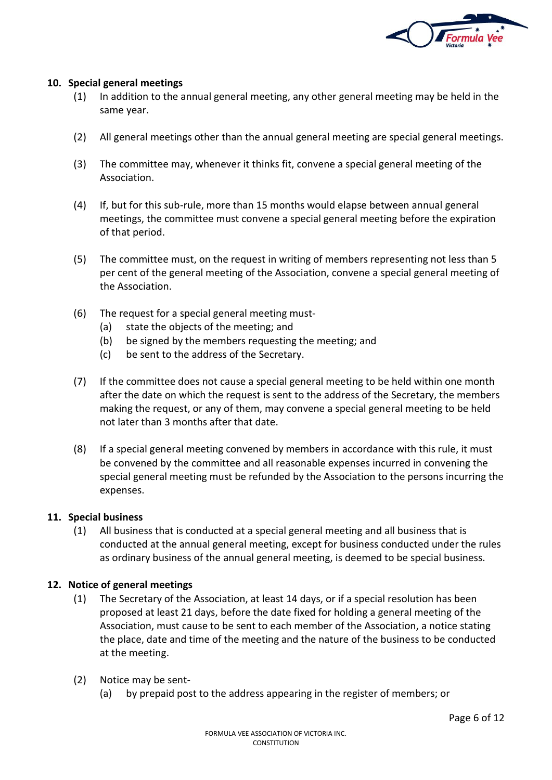

### **10. Special general meetings**

- (1) In addition to the annual general meeting, any other general meeting may be held in the same year.
- (2) All general meetings other than the annual general meeting are special general meetings.
- (3) The committee may, whenever it thinks fit, convene a special general meeting of the Association.
- (4) If, but for this sub-rule, more than 15 months would elapse between annual general meetings, the committee must convene a special general meeting before the expiration of that period.
- (5) The committee must, on the request in writing of members representing not less than 5 per cent of the general meeting of the Association, convene a special general meeting of the Association.
- (6) The request for a special general meeting must-
	- (a) state the objects of the meeting; and
	- (b) be signed by the members requesting the meeting; and
	- (c) be sent to the address of the Secretary.
- (7) If the committee does not cause a special general meeting to be held within one month after the date on which the request is sent to the address of the Secretary, the members making the request, or any of them, may convene a special general meeting to be held not later than 3 months after that date.
- (8) If a special general meeting convened by members in accordance with this rule, it must be convened by the committee and all reasonable expenses incurred in convening the special general meeting must be refunded by the Association to the persons incurring the expenses.

# **11. Special business**

(1) All business that is conducted at a special general meeting and all business that is conducted at the annual general meeting, except for business conducted under the rules as ordinary business of the annual general meeting, is deemed to be special business.

# **12. Notice of general meetings**

- (1) The Secretary of the Association, at least 14 days, or if a special resolution has been proposed at least 21 days, before the date fixed for holding a general meeting of the Association, must cause to be sent to each member of the Association, a notice stating the place, date and time of the meeting and the nature of the business to be conducted at the meeting.
- (2) Notice may be sent-
	- (a) by prepaid post to the address appearing in the register of members; or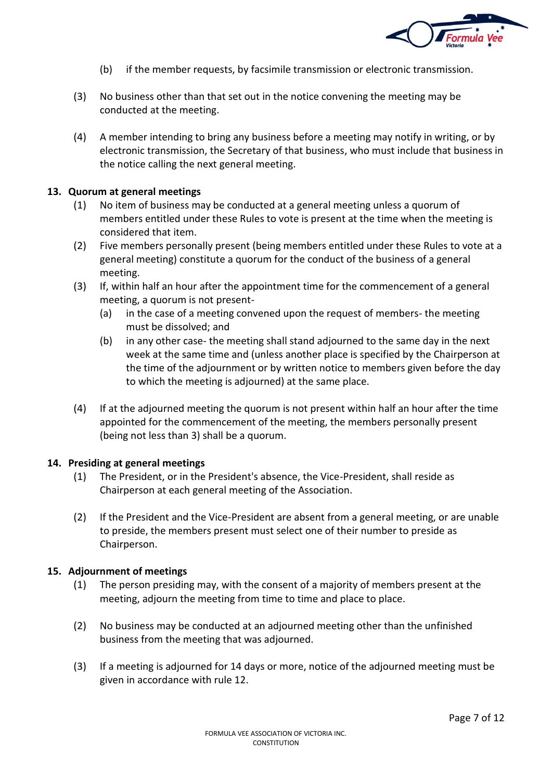

- (b) if the member requests, by facsimile transmission or electronic transmission.
- (3) No business other than that set out in the notice convening the meeting may be conducted at the meeting.
- (4) A member intending to bring any business before a meeting may notify in writing, or by electronic transmission, the Secretary of that business, who must include that business in the notice calling the next general meeting.

### **13. Quorum at general meetings**

- (1) No item of business may be conducted at a general meeting unless a quorum of members entitled under these Rules to vote is present at the time when the meeting is considered that item.
- (2) Five members personally present (being members entitled under these Rules to vote at a general meeting) constitute a quorum for the conduct of the business of a general meeting.
- (3) If, within half an hour after the appointment time for the commencement of a general meeting, a quorum is not present-
	- (a) in the case of a meeting convened upon the request of members- the meeting must be dissolved; and
	- (b) in any other case- the meeting shall stand adjourned to the same day in the next week at the same time and (unless another place is specified by the Chairperson at the time of the adjournment or by written notice to members given before the day to which the meeting is adjourned) at the same place.
- (4) If at the adjourned meeting the quorum is not present within half an hour after the time appointed for the commencement of the meeting, the members personally present (being not less than 3) shall be a quorum.

### **14. Presiding at general meetings**

- (1) The President, or in the President's absence, the Vice-President, shall reside as Chairperson at each general meeting of the Association.
- (2) If the President and the Vice-President are absent from a general meeting, or are unable to preside, the members present must select one of their number to preside as Chairperson.

# **15. Adjournment of meetings**

- (1) The person presiding may, with the consent of a majority of members present at the meeting, adjourn the meeting from time to time and place to place.
- (2) No business may be conducted at an adjourned meeting other than the unfinished business from the meeting that was adjourned.
- (3) If a meeting is adjourned for 14 days or more, notice of the adjourned meeting must be given in accordance with rule 12.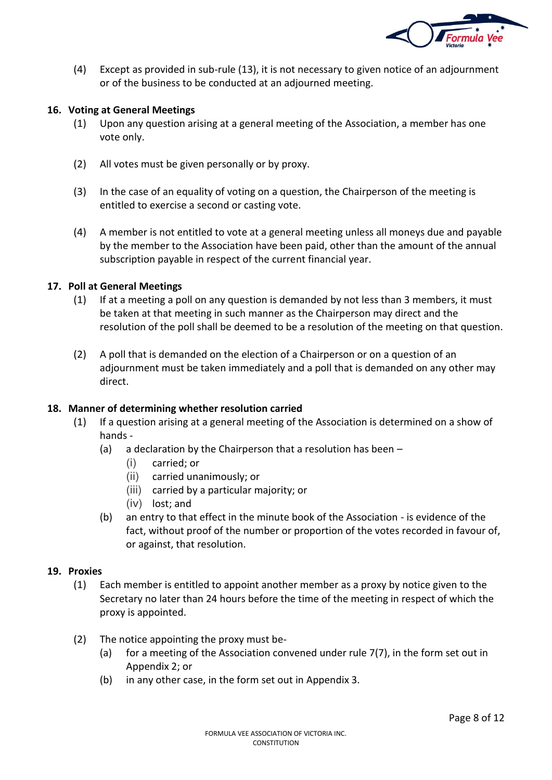

(4) Except as provided in sub-rule (13), it is not necessary to given notice of an adjournment or of the business to be conducted at an adjourned meeting.

# **16. Voting at General Meetings**

- (1) Upon any question arising at a general meeting of the Association, a member has one vote only.
- (2) All votes must be given personally or by proxy.
- (3) In the case of an equality of voting on a question, the Chairperson of the meeting is entitled to exercise a second or casting vote.
- (4) A member is not entitled to vote at a general meeting unless all moneys due and payable by the member to the Association have been paid, other than the amount of the annual subscription payable in respect of the current financial year.

### **17. Poll at General Meetings**

- (1) If at a meeting a poll on any question is demanded by not less than 3 members, it must be taken at that meeting in such manner as the Chairperson may direct and the resolution of the poll shall be deemed to be a resolution of the meeting on that question.
- (2) A poll that is demanded on the election of a Chairperson or on a question of an adjournment must be taken immediately and a poll that is demanded on any other may direct.

### **18. Manner of determining whether resolution carried**

- (1) If a question arising at a general meeting of the Association is determined on a show of hands -
	- (a) a declaration by the Chairperson that a resolution has been
		- (i) carried; or
		- (ii) carried unanimously; or
		- (iii) carried by a particular majority; or
		- (iv) lost; and
	- (b) an entry to that effect in the minute book of the Association is evidence of the fact, without proof of the number or proportion of the votes recorded in favour of, or against, that resolution.

### **19. Proxies**

- (1) Each member is entitled to appoint another member as a proxy by notice given to the Secretary no later than 24 hours before the time of the meeting in respect of which the proxy is appointed.
- (2) The notice appointing the proxy must be-
	- (a) for a meeting of the Association convened under rule 7(7), in the form set out in Appendix 2; or
	- (b) in any other case, in the form set out in Appendix 3.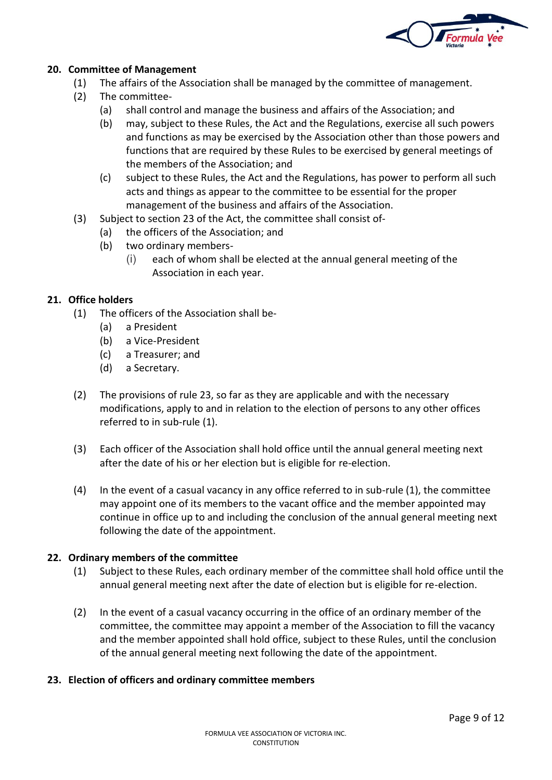

# **20. Committee of Management**

- (1) The affairs of the Association shall be managed by the committee of management.
- (2) The committee-
	- (a) shall control and manage the business and affairs of the Association; and
	- (b) may, subject to these Rules, the Act and the Regulations, exercise all such powers and functions as may be exercised by the Association other than those powers and functions that are required by these Rules to be exercised by general meetings of the members of the Association; and
	- (c) subject to these Rules, the Act and the Regulations, has power to perform all such acts and things as appear to the committee to be essential for the proper management of the business and affairs of the Association.
- (3) Subject to section 23 of the Act, the committee shall consist of-
	- (a) the officers of the Association; and
	- (b) two ordinary members-
		- (i) each of whom shall be elected at the annual general meeting of the Association in each year.

# **21. Office holders**

- (1) The officers of the Association shall be-
	- (a) a President
	- (b) a Vice-President
	- (c) a Treasurer; and
	- (d) a Secretary.
- (2) The provisions of rule 23, so far as they are applicable and with the necessary modifications, apply to and in relation to the election of persons to any other offices referred to in sub-rule (1).
- (3) Each officer of the Association shall hold office until the annual general meeting next after the date of his or her election but is eligible for re-election.
- (4) In the event of a casual vacancy in any office referred to in sub-rule (1), the committee may appoint one of its members to the vacant office and the member appointed may continue in office up to and including the conclusion of the annual general meeting next following the date of the appointment.

### **22. Ordinary members of the committee**

- (1) Subject to these Rules, each ordinary member of the committee shall hold office until the annual general meeting next after the date of election but is eligible for re-election.
- (2) In the event of a casual vacancy occurring in the office of an ordinary member of the committee, the committee may appoint a member of the Association to fill the vacancy and the member appointed shall hold office, subject to these Rules, until the conclusion of the annual general meeting next following the date of the appointment.

### **23. Election of officers and ordinary committee members**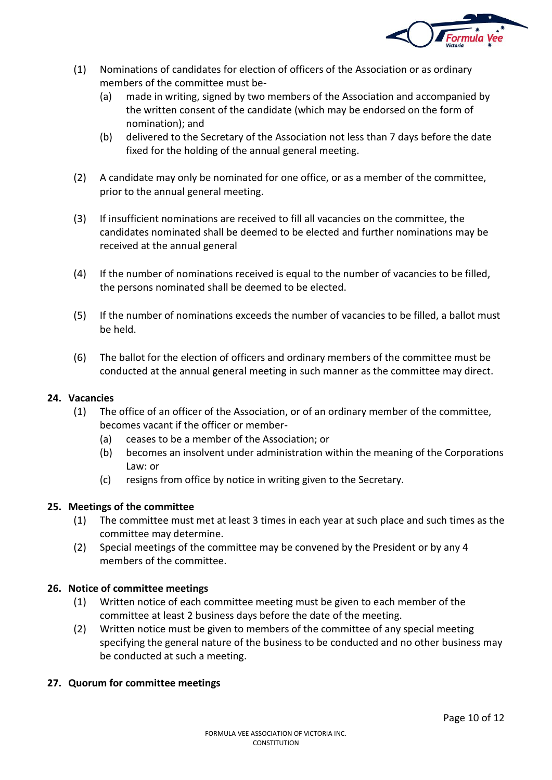

- (1) Nominations of candidates for election of officers of the Association or as ordinary members of the committee must be-
	- (a) made in writing, signed by two members of the Association and accompanied by the written consent of the candidate (which may be endorsed on the form of nomination); and
	- (b) delivered to the Secretary of the Association not less than 7 days before the date fixed for the holding of the annual general meeting.
- (2) A candidate may only be nominated for one office, or as a member of the committee, prior to the annual general meeting.
- (3) If insufficient nominations are received to fill all vacancies on the committee, the candidates nominated shall be deemed to be elected and further nominations may be received at the annual general
- (4) If the number of nominations received is equal to the number of vacancies to be filled, the persons nominated shall be deemed to be elected.
- (5) If the number of nominations exceeds the number of vacancies to be filled, a ballot must be held.
- (6) The ballot for the election of officers and ordinary members of the committee must be conducted at the annual general meeting in such manner as the committee may direct.

# **24. Vacancies**

- (1) The office of an officer of the Association, or of an ordinary member of the committee, becomes vacant if the officer or member-
	- (a) ceases to be a member of the Association; or
	- (b) becomes an insolvent under administration within the meaning of the Corporations Law: or
	- (c) resigns from office by notice in writing given to the Secretary.

# **25. Meetings of the committee**

- (1) The committee must met at least 3 times in each year at such place and such times as the committee may determine.
- (2) Special meetings of the committee may be convened by the President or by any 4 members of the committee.

# **26. Notice of committee meetings**

- (1) Written notice of each committee meeting must be given to each member of the committee at least 2 business days before the date of the meeting.
- (2) Written notice must be given to members of the committee of any special meeting specifying the general nature of the business to be conducted and no other business may be conducted at such a meeting.

# **27. Quorum for committee meetings**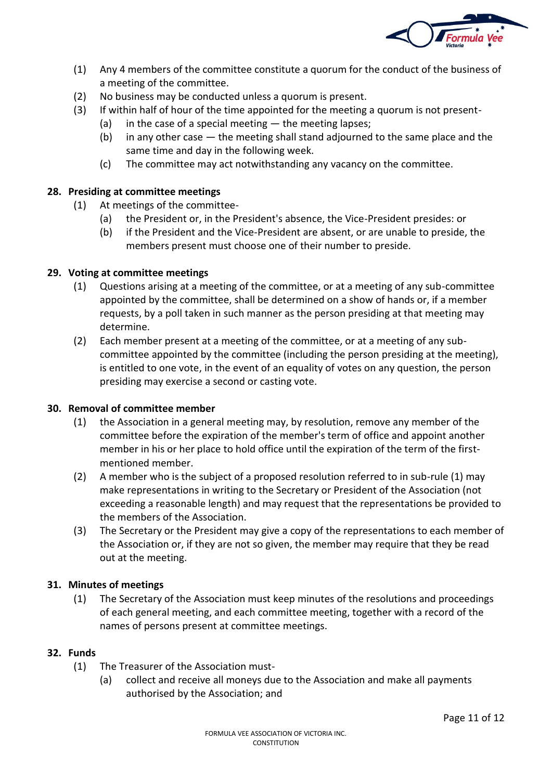

- (1) Any 4 members of the committee constitute a quorum for the conduct of the business of a meeting of the committee.
- (2) No business may be conducted unless a quorum is present.
- (3) If within half of hour of the time appointed for the meeting a quorum is not present-
	- (a) in the case of a special meeting  $-$  the meeting lapses;
		- (b) in any other case  $-$  the meeting shall stand adjourned to the same place and the same time and day in the following week.
		- (c) The committee may act notwithstanding any vacancy on the committee.

# **28. Presiding at committee meetings**

- (1) At meetings of the committee-
	- (a) the President or, in the President's absence, the Vice-President presides: or
	- (b) if the President and the Vice-President are absent, or are unable to preside, the members present must choose one of their number to preside.

# **29. Voting at committee meetings**

- (1) Questions arising at a meeting of the committee, or at a meeting of any sub-committee appointed by the committee, shall be determined on a show of hands or, if a member requests, by a poll taken in such manner as the person presiding at that meeting may determine.
- (2) Each member present at a meeting of the committee, or at a meeting of any subcommittee appointed by the committee (including the person presiding at the meeting), is entitled to one vote, in the event of an equality of votes on any question, the person presiding may exercise a second or casting vote.

# **30. Removal of committee member**

- (1) the Association in a general meeting may, by resolution, remove any member of the committee before the expiration of the member's term of office and appoint another member in his or her place to hold office until the expiration of the term of the firstmentioned member.
- (2) A member who is the subject of a proposed resolution referred to in sub-rule (1) may make representations in writing to the Secretary or President of the Association (not exceeding a reasonable length) and may request that the representations be provided to the members of the Association.
- (3) The Secretary or the President may give a copy of the representations to each member of the Association or, if they are not so given, the member may require that they be read out at the meeting.

# **31. Minutes of meetings**

(1) The Secretary of the Association must keep minutes of the resolutions and proceedings of each general meeting, and each committee meeting, together with a record of the names of persons present at committee meetings.

# **32. Funds**

- (1) The Treasurer of the Association must-
	- (a) collect and receive all moneys due to the Association and make all payments authorised by the Association; and